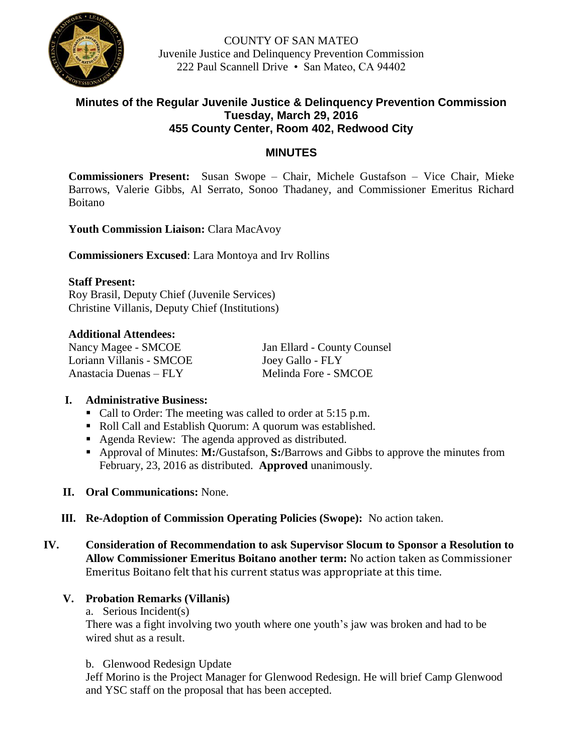

COUNTY OF SAN MATEO Juvenile Justice and Delinquency Prevention Commission 222 Paul Scannell Drive • San Mateo, CA 94402

# **Minutes of the Regular Juvenile Justice & Delinquency Prevention Commission Tuesday, March 29, 2016 455 County Center, Room 402, Redwood City**

# **MINUTES**

**Commissioners Present:** Susan Swope – Chair, Michele Gustafson – Vice Chair, Mieke Barrows, Valerie Gibbs, Al Serrato, Sonoo Thadaney, and Commissioner Emeritus Richard Boitano

**Youth Commission Liaison:** Clara MacAvoy

**Commissioners Excused**: Lara Montoya and Irv Rollins

#### **Staff Present:**

Roy Brasil, Deputy Chief (Juvenile Services) Christine Villanis, Deputy Chief (Institutions)

#### **Additional Attendees:**

Nancy Magee - SMCOE Jan Ellard - County Counsel Loriann Villanis - SMCOE Joey Gallo - FLY Anastacia Duenas – FLY Melinda Fore - SMCOE

# **I. Administrative Business:**

- Call to Order: The meeting was called to order at 5:15 p.m.
- Roll Call and Establish Quorum: A quorum was established.
- Agenda Review: The agenda approved as distributed.
- Approval of Minutes: **M:/**Gustafson, **S:/**Barrows and Gibbs to approve the minutes from February, 23, 2016 as distributed. **Approved** unanimously.
- **II. Oral Communications:** None.
- **III. Re-Adoption of Commission Operating Policies (Swope):** No action taken.
- **IV. Consideration of Recommendation to ask Supervisor Slocum to Sponsor a Resolution to Allow Commissioner Emeritus Boitano another term:** No action taken as Commissioner Emeritus Boitano felt that his current status was appropriate at this time.

#### **V. Probation Remarks (Villanis)**

a. Serious Incident(s)

There was a fight involving two youth where one youth's jaw was broken and had to be wired shut as a result.

b. Glenwood Redesign Update

Jeff Morino is the Project Manager for Glenwood Redesign. He will brief Camp Glenwood and YSC staff on the proposal that has been accepted.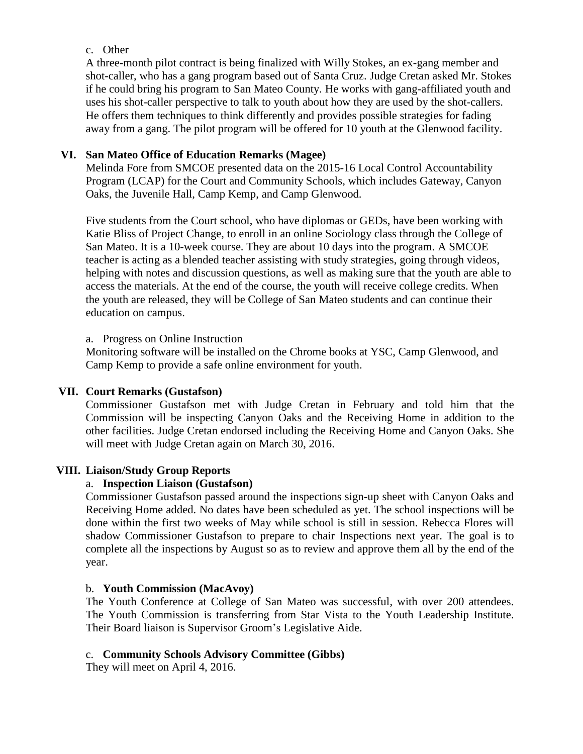### c. Other

A three-month pilot contract is being finalized with Willy Stokes, an ex-gang member and shot-caller, who has a gang program based out of Santa Cruz. Judge Cretan asked Mr. Stokes if he could bring his program to San Mateo County. He works with gang-affiliated youth and uses his shot-caller perspective to talk to youth about how they are used by the shot-callers. He offers them techniques to think differently and provides possible strategies for fading away from a gang. The pilot program will be offered for 10 youth at the Glenwood facility.

# **VI. San Mateo Office of Education Remarks (Magee)**

Melinda Fore from SMCOE presented data on the 2015-16 Local Control Accountability Program (LCAP) for the Court and Community Schools, which includes Gateway, Canyon Oaks, the Juvenile Hall, Camp Kemp, and Camp Glenwood.

Five students from the Court school, who have diplomas or GEDs, have been working with Katie Bliss of Project Change, to enroll in an online Sociology class through the College of San Mateo. It is a 10-week course. They are about 10 days into the program. A SMCOE teacher is acting as a blended teacher assisting with study strategies, going through videos, helping with notes and discussion questions, as well as making sure that the youth are able to access the materials. At the end of the course, the youth will receive college credits. When the youth are released, they will be College of San Mateo students and can continue their education on campus.

# a. Progress on Online Instruction

Monitoring software will be installed on the Chrome books at YSC, Camp Glenwood, and Camp Kemp to provide a safe online environment for youth.

# **VII. Court Remarks (Gustafson)**

Commissioner Gustafson met with Judge Cretan in February and told him that the Commission will be inspecting Canyon Oaks and the Receiving Home in addition to the other facilities. Judge Cretan endorsed including the Receiving Home and Canyon Oaks. She will meet with Judge Cretan again on March 30, 2016.

# **VIII. Liaison/Study Group Reports**

# a. **Inspection Liaison (Gustafson)**

Commissioner Gustafson passed around the inspections sign-up sheet with Canyon Oaks and Receiving Home added. No dates have been scheduled as yet. The school inspections will be done within the first two weeks of May while school is still in session. Rebecca Flores will shadow Commissioner Gustafson to prepare to chair Inspections next year. The goal is to complete all the inspections by August so as to review and approve them all by the end of the year.

# b. **Youth Commission (MacAvoy)**

The Youth Conference at College of San Mateo was successful, with over 200 attendees. The Youth Commission is transferring from Star Vista to the Youth Leadership Institute. Their Board liaison is Supervisor Groom's Legislative Aide.

# c. **Community Schools Advisory Committee (Gibbs)**

They will meet on April 4, 2016.